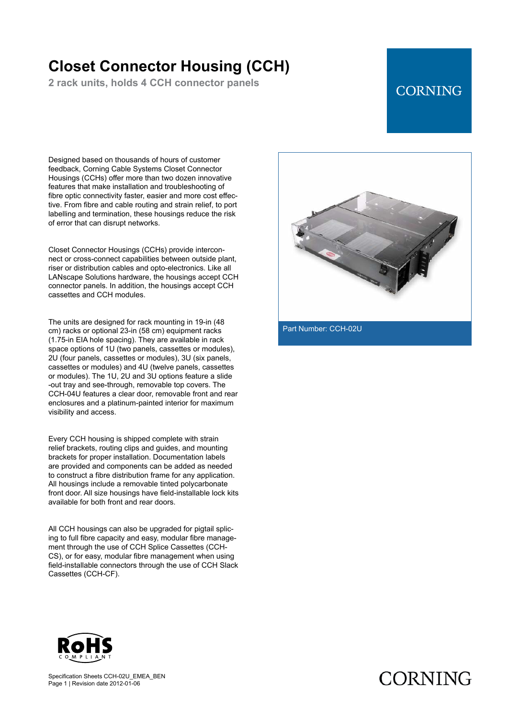## **Closet Connector Housing (CCH)**

**2 rack units, holds 4 CCH connector panels**

#### **CORNING**

Designed based on thousands of hours of customer feedback, Corning Cable Systems Closet Connector Housings (CCHs) offer more than two dozen innovative features that make installation and troubleshooting of fibre optic connectivity faster, easier and more cost effective. From fibre and cable routing and strain relief, to port labelling and termination, these housings reduce the risk of error that can disrupt networks.

Closet Connector Housings (CCHs) provide interconnect or cross-connect capabilities between outside plant, riser or distribution cables and opto-electronics. Like all LANscape Solutions hardware, the housings accept CCH connector panels. In addition, the housings accept CCH cassettes and CCH modules.

The units are designed for rack mounting in 19-in (48 cm) racks or optional 23-in (58 cm) equipment racks (1.75-in EIA hole spacing). They are available in rack space options of 1U (two panels, cassettes or modules), 2U (four panels, cassettes or modules), 3U (six panels, cassettes or modules) and 4U (twelve panels, cassettes or modules). The 1U, 2U and 3U options feature a slide -out tray and see-through, removable top covers. The CCH-04U features a clear door, removable front and rear enclosures and a platinum-painted interior for maximum visibility and access.

Every CCH housing is shipped complete with strain relief brackets, routing clips and guides, and mounting brackets for proper installation. Documentation labels are provided and components can be added as needed to construct a fibre distribution frame for any application. All housings include a removable tinted polycarbonate front door. All size housings have field-installable lock kits available for both front and rear doors.

All CCH housings can also be upgraded for pigtail splicing to full fibre capacity and easy, modular fibre management through the use of CCH Splice Cassettes (CCH-CS), or for easy, modular fibre management when using field-installable connectors through the use of CCH Slack Cassettes (CCH-CF).



Part Number: CCH-02U



Specification Sheets CCH-02U\_EMEA\_BEN Page 1 | Revision date 2012-01-06

# **CORNING**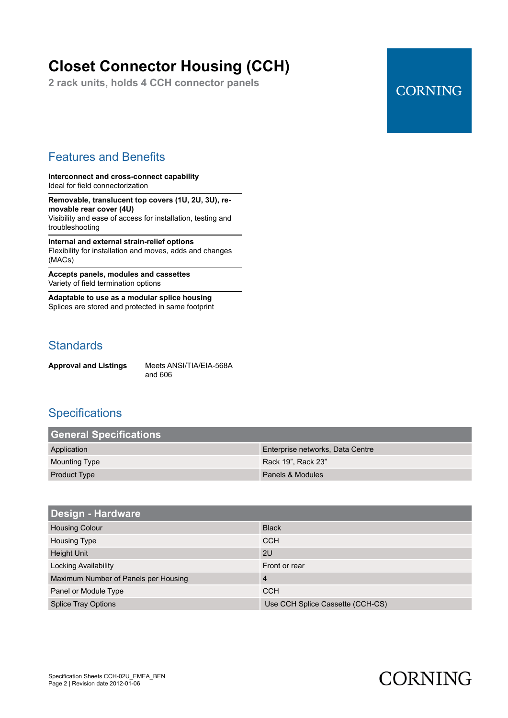# **Closet Connector Housing (CCH)**

**2 rack units, holds 4 CCH connector panels**

### **CORNING**

#### Features and Benefits

**Interconnect and cross-connect capability** Ideal for field connectorization

**Removable, translucent top covers (1U, 2U, 3U), removable rear cover (4U)** Visibility and ease of access for installation, testing and troubleshooting

**Internal and external strain-relief options** Flexibility for installation and moves, adds and changes (MACs)

**Accepts panels, modules and cassettes** Variety of field termination options

**Adaptable to use as a modular splice housing** Splices are stored and protected in same footprint

#### **Standards**

**Approval and Listings** Meets ANSI/TIA/EIA-568A and 606

#### **Specifications**

| <b>General Specifications</b> |                                  |
|-------------------------------|----------------------------------|
| Application                   | Enterprise networks, Data Centre |
| Mounting Type                 | Rack 19". Rack 23"               |
| <b>Product Type</b>           | Panels & Modules                 |

| <b>Design - Hardware</b>             |                                  |
|--------------------------------------|----------------------------------|
| <b>Housing Colour</b>                | <b>Black</b>                     |
| Housing Type                         | <b>CCH</b>                       |
| <b>Height Unit</b>                   | 2U                               |
| Locking Availability                 | Front or rear                    |
| Maximum Number of Panels per Housing | $\overline{4}$                   |
| Panel or Module Type                 | <b>CCH</b>                       |
| <b>Splice Tray Options</b>           | Use CCH Splice Cassette (CCH-CS) |